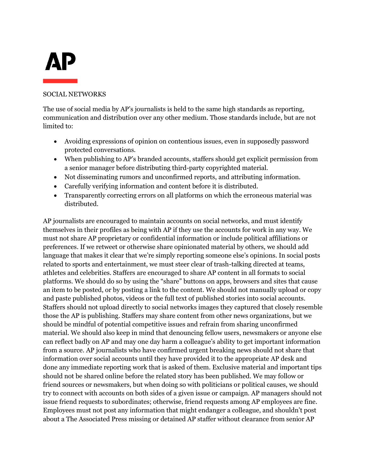# **AP**

### SOCIAL NETWORKS

The use of social media by AP's journalists is held to the same high standards as reporting, communication and distribution over any other medium. Those standards include, but are not limited to:

- Avoiding expressions of opinion on contentious issues, even in supposedly password protected conversations.
- When publishing to AP's branded accounts, staffers should get explicit permission from a senior manager before distributing third-party copyrighted material.
- Not disseminating rumors and unconfirmed reports, and attributing information.
- Carefully verifying information and content before it is distributed.
- Transparently correcting errors on all platforms on which the erroneous material was distributed.

AP journalists are encouraged to maintain accounts on social networks, and must identify themselves in their profiles as being with AP if they use the accounts for work in any way. We must not share AP proprietary or confidential information or include political affiliations or preferences. If we retweet or otherwise share opinionated material by others, we should add language that makes it clear that we're simply reporting someone else's opinions. In social posts related to sports and entertainment, we must steer clear of trash-talking directed at teams, athletes and celebrities. Staffers are encouraged to share AP content in all formats to social platforms. We should do so by using the "share" buttons on apps, browsers and sites that cause an item to be posted, or by posting a link to the content. We should not manually upload or copy and paste published photos, videos or the full text of published stories into social accounts. Staffers should not upload directly to social networks images they captured that closely resemble those the AP is publishing. Staffers may share content from other news organizations, but we should be mindful of potential competitive issues and refrain from sharing unconfirmed material. We should also keep in mind that denouncing fellow users, newsmakers or anyone else can reflect badly on AP and may one day harm a colleague's ability to get important information from a source. AP journalists who have confirmed urgent breaking news should not share that information over social accounts until they have provided it to the appropriate AP desk and done any immediate reporting work that is asked of them. Exclusive material and important tips should not be shared online before the related story has been published. We may follow or friend sources or newsmakers, but when doing so with politicians or political causes, we should try to connect with accounts on both sides of a given issue or campaign. AP managers should not issue friend requests to subordinates; otherwise, friend requests among AP employees are fine. Employees must not post any information that might endanger a colleague, and shouldn't post about a The Associated Press missing or detained AP staffer without clearance from senior AP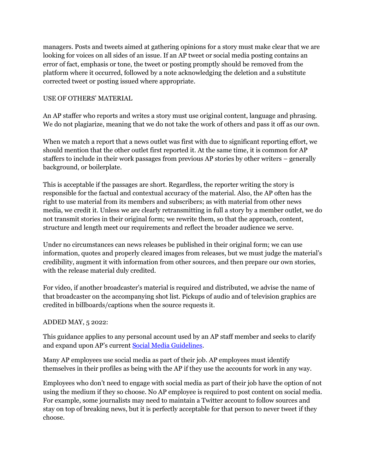managers. Posts and tweets aimed at gathering opinions for a story must make clear that we are looking for voices on all sides of an issue. If an AP tweet or social media posting contains an error of fact, emphasis or tone, the tweet or posting promptly should be removed from the platform where it occurred, followed by a note acknowledging the deletion and a substitute corrected tweet or posting issued where appropriate.

## USE OF OTHERS' MATERIAL

An AP staffer who reports and writes a story must use original content, language and phrasing. We do not plagiarize, meaning that we do not take the work of others and pass it off as our own.

When we match a report that a news outlet was first with due to significant reporting effort, we should mention that the other outlet first reported it. At the same time, it is common for AP staffers to include in their work passages from previous AP stories by other writers – generally background, or boilerplate.

This is acceptable if the passages are short. Regardless, the reporter writing the story is responsible for the factual and contextual accuracy of the material. Also, the AP often has the right to use material from its members and subscribers; as with material from other news media, we credit it. Unless we are clearly retransmitting in full a story by a member outlet, we do not transmit stories in their original form; we rewrite them, so that the approach, content, structure and length meet our requirements and reflect the broader audience we serve.

Under no circumstances can news releases be published in their original form; we can use information, quotes and properly cleared images from releases, but we must judge the material's credibility, augment it with information from other sources, and then prepare our own stories, with the release material duly credited.

For video, if another broadcaster's material is required and distributed, we advise the name of that broadcaster on the accompanying shot list. Pickups of audio and of television graphics are credited in billboards/captions when the source requests it.

## ADDED MAY, 5 2022:

This guidance applies to any personal account used by an AP staff member and seeks to clarify and expand upon AP's current [Social Media Guidelines.](https://www.ap.org/assets/documents/social_media_06022021.pdf)

Many AP employees use social media as part of their job. AP employees must identify themselves in their profiles as being with the AP if they use the accounts for work in any way.

Employees who don't need to engage with social media as part of their job have the option of not using the medium if they so choose. No AP employee is required to post content on social media. For example, some journalists may need to maintain a Twitter account to follow sources and stay on top of breaking news, but it is perfectly acceptable for that person to never tweet if they choose.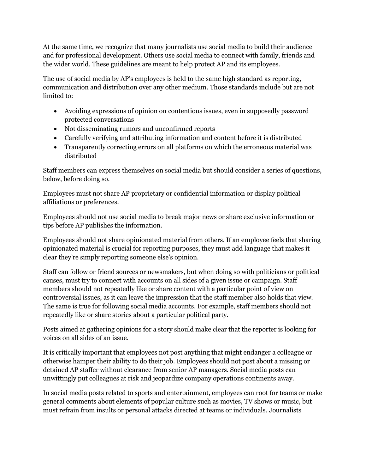At the same time, we recognize that many journalists use social media to build their audience and for professional development. Others use social media to connect with family, friends and the wider world. These guidelines are meant to help protect AP and its employees.

The use of social media by AP's employees is held to the same high standard as reporting, communication and distribution over any other medium. Those standards include but are not limited to:

- Avoiding expressions of opinion on contentious issues, even in supposedly password protected conversations
- Not disseminating rumors and unconfirmed reports
- Carefully verifying and attributing information and content before it is distributed
- Transparently correcting errors on all platforms on which the erroneous material was distributed

Staff members can express themselves on social media but should consider a series of questions, below, before doing so.

Employees must not share AP proprietary or confidential information or display political affiliations or preferences.

Employees should not use social media to break major news or share exclusive information or tips before AP publishes the information.

Employees should not share opinionated material from others. If an employee feels that sharing opinionated material is crucial for reporting purposes, they must add language that makes it clear they're simply reporting someone else's opinion.

Staff can follow or friend sources or newsmakers, but when doing so with politicians or political causes, must try to connect with accounts on all sides of a given issue or campaign. Staff members should not repeatedly like or share content with a particular point of view on controversial issues, as it can leave the impression that the staff member also holds that view. The same is true for following social media accounts. For example, staff members should not repeatedly like or share stories about a particular political party.

Posts aimed at gathering opinions for a story should make clear that the reporter is looking for voices on all sides of an issue.

It is critically important that employees not post anything that might endanger a colleague or otherwise hamper their ability to do their job. Employees should not post about a missing or detained AP staffer without clearance from senior AP managers. Social media posts can unwittingly put colleagues at risk and jeopardize company operations continents away.

In social media posts related to sports and entertainment, employees can root for teams or make general comments about elements of popular culture such as movies, TV shows or music, but must refrain from insults or personal attacks directed at teams or individuals. Journalists